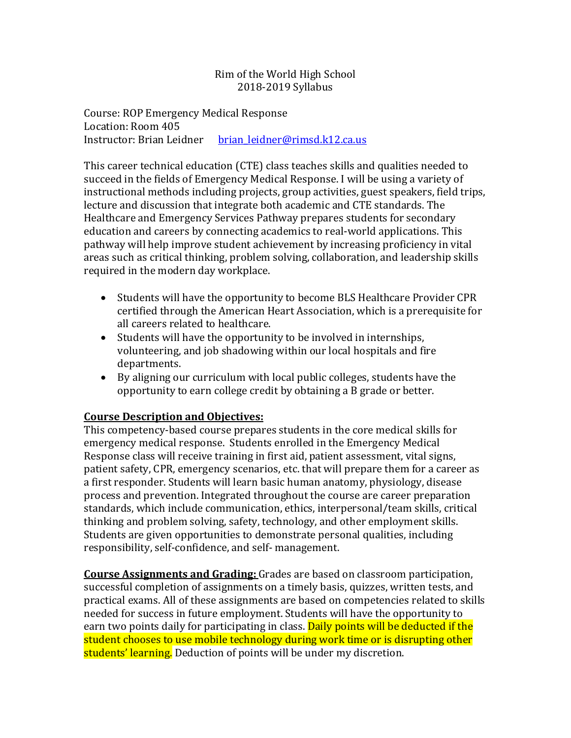# Rim of the World High School 2018-2019 Syllabus

Course: ROP Emergency Medical Response Location: Room 405 Instructor: Brian Leidner brian leidner@rimsd.k12.ca.us

This career technical education (CTE) class teaches skills and qualities needed to succeed in the fields of Emergency Medical Response. I will be using a variety of instructional methods including projects, group activities, guest speakers, field trips, lecture and discussion that integrate both academic and CTE standards. The Healthcare and Emergency Services Pathway prepares students for secondary education and careers by connecting academics to real-world applications. This pathway will help improve student achievement by increasing proficiency in vital areas such as critical thinking, problem solving, collaboration, and leadership skills required in the modern day workplace.

- Students will have the opportunity to become BLS Healthcare Provider CPR certified through the American Heart Association, which is a prerequisite for all careers related to healthcare.
- Students will have the opportunity to be involved in internships, volunteering, and job shadowing within our local hospitals and fire departments.
- By aligning our curriculum with local public colleges, students have the opportunity to earn college credit by obtaining a B grade or better.

# **Course Description and Objectives:**

This competency-based course prepares students in the core medical skills for emergency medical response. Students enrolled in the Emergency Medical Response class will receive training in first aid, patient assessment, vital signs, patient safety, CPR, emergency scenarios, etc. that will prepare them for a career as a first responder. Students will learn basic human anatomy, physiology, disease process and prevention. Integrated throughout the course are career preparation standards, which include communication, ethics, interpersonal/team skills, critical thinking and problem solving, safety, technology, and other employment skills. Students are given opportunities to demonstrate personal qualities, including responsibility, self-confidence, and self- management.

**Course Assignments and Grading:** Grades are based on classroom participation, successful completion of assignments on a timely basis, quizzes, written tests, and practical exams. All of these assignments are based on competencies related to skills needed for success in future employment. Students will have the opportunity to earn two points daily for participating in class. Daily points will be deducted if the student chooses to use mobile technology during work time or is disrupting other students' learning. Deduction of points will be under my discretion.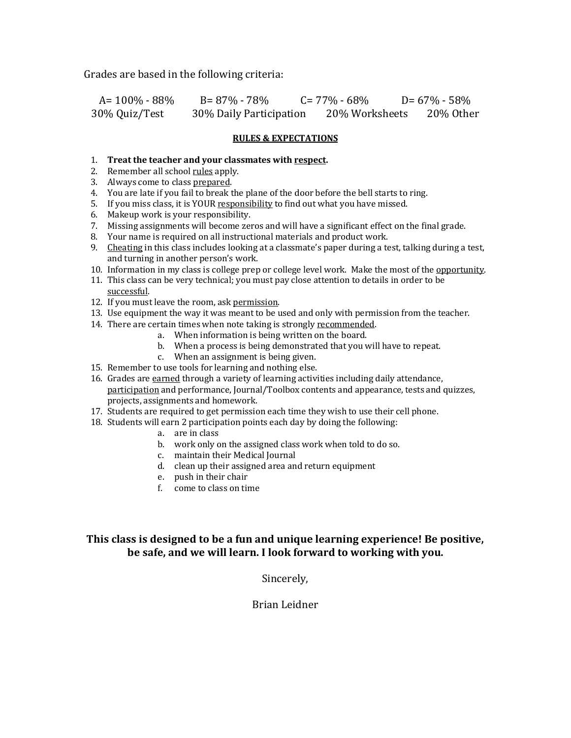Grades are based in the following criteria:

| $A = 100\% - 88\%$ | B= 87% - 78%            | $C = 77\% - 68\%$ | $D = 67\% - 58\%$ |
|--------------------|-------------------------|-------------------|-------------------|
| 30% Quiz/Test      | 30% Daily Participation | 20% Worksheets    | 20% Other         |

#### **RULES & EXPECTATIONS**

#### 1. **Treat the teacher and your classmates with respect.**

- 2. Remember all school rules apply.
- 3. Always come to class prepared.
- 4. You are late if you fail to break the plane of the door before the bell starts to ring.
- 5. If you miss class, it is YOUR responsibility to find out what you have missed.
- 6. Makeup work is your responsibility.
- 7. Missing assignments will become zeros and will have a significant effect on the final grade.
- 8. Your name is required on all instructional materials and product work.
- 9. Cheating in this class includes looking at a classmate's paper during a test, talking during a test, and turning in another person's work.
- 10. Information in my class is college prep or college level work. Make the most of the opportunity.
- 11. This class can be very technical; you must pay close attention to details in order to be successful.
- 12. If you must leave the room, ask permission.
- 13. Use equipment the way it was meant to be used and only with permission from the teacher.
- 14. There are certain times when note taking is strongly recommended.
	- a. When information is being written on the board.
		- b. When a process is being demonstrated that you will have to repeat.
		- c. When an assignment is being given.
- 15. Remember to use tools for learning and nothing else.
- 16. Grades are earned through a variety of learning activities including daily attendance, participation and performance, Journal/Toolbox contents and appearance, tests and quizzes, projects, assignments and homework.
- 17. Students are required to get permission each time they wish to use their cell phone.
- 18. Students will earn 2 participation points each day by doing the following:
	- a. are in class
	- b. work only on the assigned class work when told to do so.
	- c. maintain their Medical Journal
	- d. clean up their assigned area and return equipment
	- e. push in their chair
	- f. come to class on time

### **This class is designed to be a fun and unique learning experience! Be positive,** be safe, and we will learn. I look forward to working with you.

Sincerely,

Brian Leidner